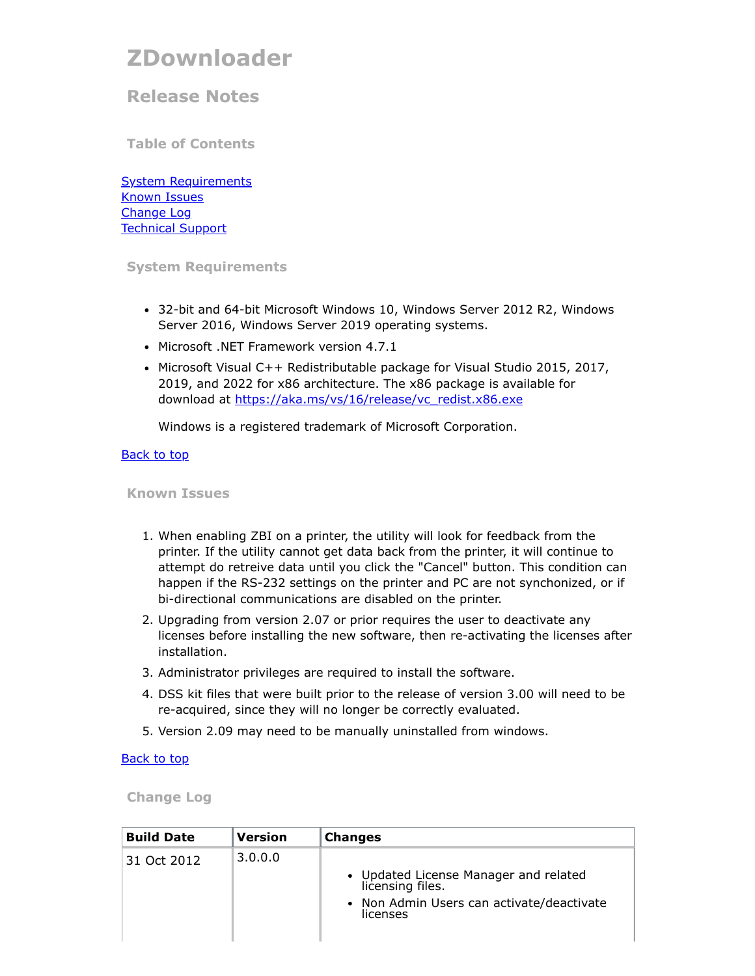# <span id="page-0-3"></span>**ZDownloader**

## **Release Notes**

**Table of Contents**

**[System Requirements](#page-0-0)** [Known Issues](#page-0-1) [Change Log](#page-0-2) [Technical Support](#page-1-0)

#### <span id="page-0-0"></span>**System Requirements**

- 32-bit and 64-bit Microsoft Windows 10, Windows Server 2012 R2, Windows Server 2016, Windows Server 2019 operating systems.
- Microsoft .NET Framework version 4.7.1
- Microsoft Visual C++ Redistributable package for Visual Studio 2015, 2017, 2019, and 2022 for x86 architecture. The x86 package is available for download at [https://aka.ms/vs/16/release/vc\\_redist.x86.exe](https://aka.ms/vs/16/release/vc_redist.x86.exe)

Windows is a registered trademark of Microsoft Corporation.

#### [Back to top](#page-0-3)

#### <span id="page-0-1"></span>**Known Issues**

- 1. When enabling ZBI on a printer, the utility will look for feedback from the printer. If the utility cannot get data back from the printer, it will continue to attempt do retreive data until you click the "Cancel" button. This condition can happen if the RS-232 settings on the printer and PC are not synchonized, or if bi-directional communications are disabled on the printer.
- 2. Upgrading from version 2.07 or prior requires the user to deactivate any licenses before installing the new software, then re-activating the licenses after installation.
- 3. Administrator privileges are required to install the software.
- 4. DSS kit files that were built prior to the release of version 3.00 will need to be re-acquired, since they will no longer be correctly evaluated.
- 5. Version 2.09 may need to be manually uninstalled from windows.

#### **[Back to top](#page-0-3)**

<span id="page-0-2"></span>**Change Log**

| <b>Build Date</b> | <b>Version</b> | <b>Changes</b>                                                                                                     |
|-------------------|----------------|--------------------------------------------------------------------------------------------------------------------|
| 31 Oct 2012       | 3.0.0.0        | • Updated License Manager and related<br>licensing files.<br>• Non Admin Users can activate/deactivate<br>licenses |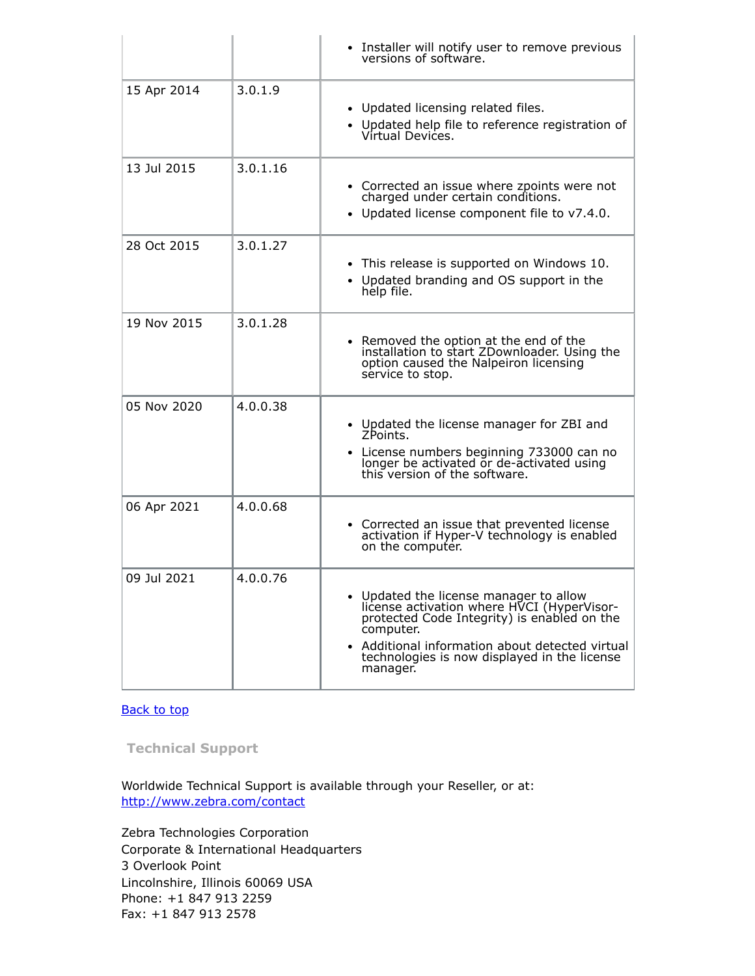|             |          | • Installer will notify user to remove previous<br>versions of software.                                                                                                                                                                                                   |
|-------------|----------|----------------------------------------------------------------------------------------------------------------------------------------------------------------------------------------------------------------------------------------------------------------------------|
| 15 Apr 2014 | 3.0.1.9  | • Updated licensing related files.<br>• Updated help file to reference registration of<br>Vírtual Devices.                                                                                                                                                                 |
| 13 Jul 2015 | 3.0.1.16 | • Corrected an issue where zpoints were not<br>charged under certain conditions.<br>• Updated license component file to v7.4.0.                                                                                                                                            |
| 28 Oct 2015 | 3.0.1.27 | • This release is supported on Windows 10.<br>• Updated branding and OS support in the<br>help file.                                                                                                                                                                       |
| 19 Nov 2015 | 3.0.1.28 | • Removed the option at the end of the<br>installation to start ZDownloader. Using the<br>option caused the Nalpeiron licensing<br>service to stop.                                                                                                                        |
| 05 Nov 2020 | 4.0.0.38 | • Updated the license manager for ZBI and<br>ZPoints.<br>• License numbers beginning 733000 can no<br>longer be activated or de-activated using<br>this version of the software.                                                                                           |
| 06 Apr 2021 | 4.0.0.68 | • Corrected an issue that prevented license<br>activation if Hyper-V technology is enabled<br>on the computer.                                                                                                                                                             |
| 09 Jul 2021 | 4.0.0.76 | • Updated the license manager to allow<br>license activation where HVCI (HyperVisor-<br>protected Code Integrity) is enabled on the<br>computer.<br>Additional information about detected virtual<br>$\bullet$<br>technologies is now displayed in the license<br>manager. |

### [Back to top](#page-0-3)

<span id="page-1-0"></span>**Technical Support**

Worldwide Technical Support is available through your Reseller, or at: <http://www.zebra.com/contact>

Zebra Technologies Corporation Corporate & International Headquarters 3 Overlook Point Lincolnshire, Illinois 60069 USA Phone: +1 847 913 2259 Fax: +1 847 913 2578